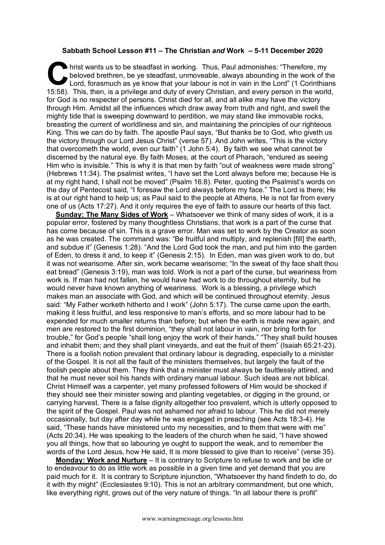## **Sabbath School Lesson #11 – The Christian** *and* **Work – 5-11 December 2020**

hrist wants us to be steadfast in working. Thus, Paul admonishes: "Therefore, my beloved brethren, be ye steadfast, unmoveable, always abounding in the work of the Lord, forasmuch as ye know that your labour is not in vain beloved brethren, be ye steadfast, unmoveable, always abounding in the work of the Lord, forasmuch as ye know that your labour is not in vain in the Lord" (1 Corinthians 15:58). This, then, is a privilege and duty of every Christian, and every person in the world, for God is no respecter of persons. Christ died for all, and all alike may have the victory through Him. Amidst all the influences which draw away from truth and right, and swell the mighty tide that is sweeping downward to perdition, we may stand like immovable rocks, breasting the current of worldliness and sin, and maintaining the principles of our righteous King. This we can do by faith. The apostle Paul says, "But thanks be to God, who giveth us the victory through our Lord Jesus Christ" (verse 57). And John writes, "This is the victory that overcometh the world, even our faith" (1 John 5:4). By faith we see what cannot be discerned by the natural eye. By faith Moses, at the court of Pharaoh, "endured as seeing Him who is invisible." This is why it is that men by faith "out of weakness were made strong" (Hebrews 11:34). The psalmist writes, "I have set the Lord always before me; because He is at my right hand, I shall not be moved" (Psalm 16:8). Peter, quoting the Psalmist's words on the day of Pentecost said, "I foresaw the Lord always before my face." The Lord is there; He is at our right hand to help us; as Paul said to the people at Athens, He is not far from every one of us (Acts 17:27). And it only requires the eye of faith to assure our hearts of this fact.

**Sunday: The Many Sides of Work** – Whatsoever we think of many sides of work, it is a popular error, fostered by many thoughtless Christians, that work is a part of the curse that has come because of sin. This is a grave error. Man was set to work by the Creator as soon as he was created. The command was: "Be fruitful and multiply, and replenish [fill] the earth, and subdue it" (Genesis 1:28). "And the Lord God took the man, and put him into the garden of Eden, to dress it and, to keep it" (Genesis 2:15). In Eden, man was given work to do, but it was not wearisome. After sin, work became wearisome; "In the sweat of thy face shalt thou eat bread" (Genesis 3:19), man was told. Work is not a part of the curse, but weariness from work is. If man had not fallen, he would have had work to do throughout eternity, but he would never have known anything of weariness. Work is a blessing, a privilege which makes man an associate with God, and which will be continued throughout eternity. Jesus said: "My Father worketh hitherto and I work" (John 5:17). The curse came upon the earth, making it less fruitful, and less responsive to man's efforts, and so more labour had to be expended for much smaller returns than before; but when the earth is made new again, and men are restored to the first dominion, "they shall not labour in vain, nor bring forth for trouble," for God's people "shall long enjoy the work of their hands." "They shall build houses and inhabit them; and they shall plant vineyards, and eat the fruit of them" (Isaiah 65:21-23). There is a foolish notion prevalent that ordinary labour is degrading, especially to a minister of the Gospel. It is not all the fault of the ministers themselves, but largely the fault of the foolish people about them. They think that a minister must always be faultlessly attired, and that he must never soil his hands with ordinary manual labour. Such ideas are not biblical. Christ Himself was a carpenter, yet many professed followers of Him would be shocked if they should see their minister sowing and planting vegetables, or digging in the ground, or carrying harvest. There is a false dignity altogether too prevalent, which is utterly opposed to the spirit of the Gospel. Paul was not ashamed nor afraid to labour. This he did not merely occasionally, but day after day while he was engaged in preaching (see Acts 18:3-4). He said, "These hands have ministered unto my necessities, and to them that were with me" (Acts 20:34). He was speaking to the leaders of the church when he said, "I have showed you all things, how that so labouring ye ought to support the weak, and to remember the words of the Lord Jesus, how He said, It is more blessed to give than to receive" (verse 35).

**Monday: Work and Nurture** – It is contrary to Scripture to refuse to work and be idle or to endeavour to do as little work as possible in a given time and yet demand that you are paid much for it. It is contrary to Scripture injunction, "Whatsoever thy hand findeth to do, do it with thy might" (Ecclesiastes 9:10). This is not an arbitrary commandment, but one which, like everything right, grows out of the very nature of things. "In all labour there is profit"